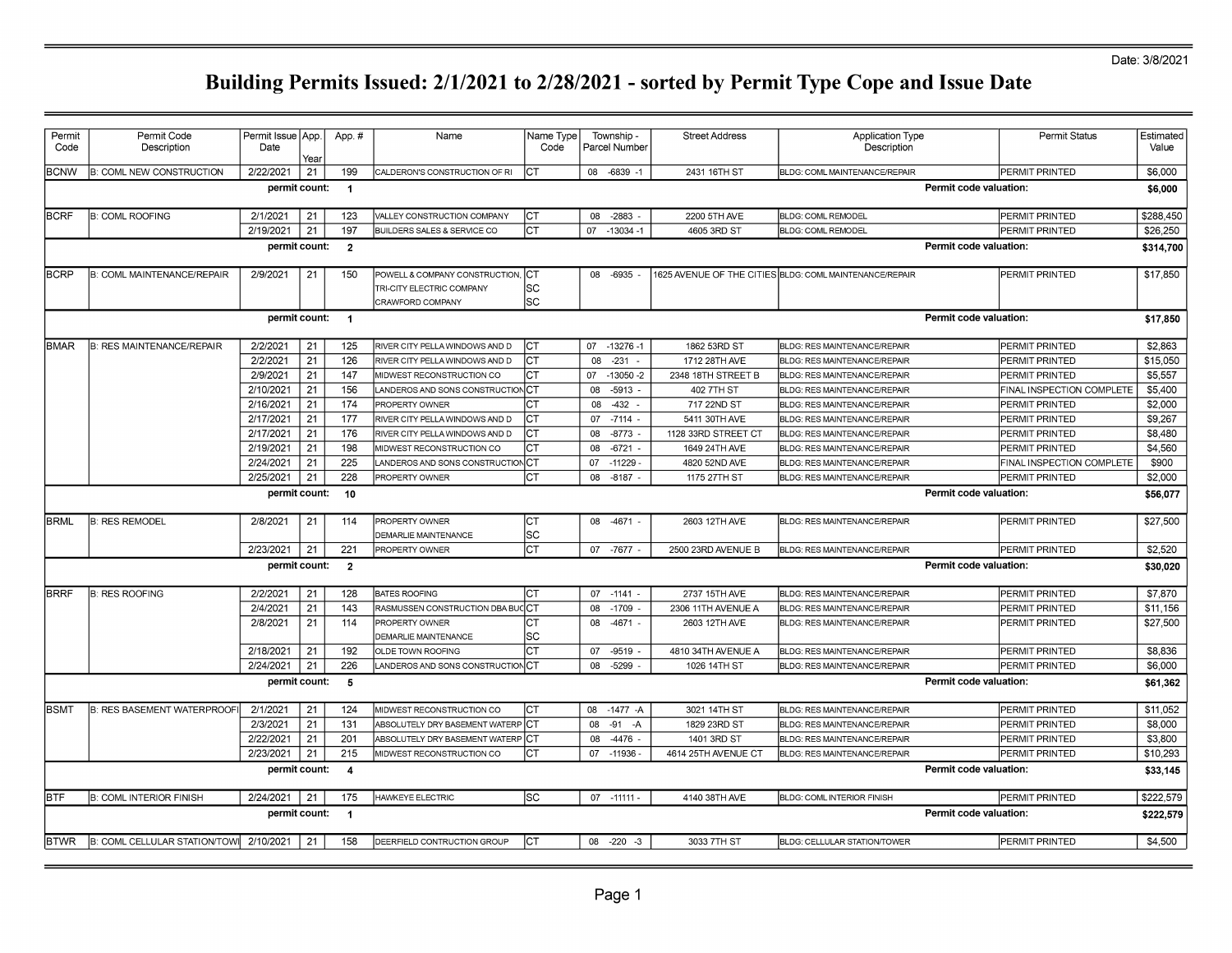#### Date: 3/8/2021

| Permit       | Permit Code                       | Permit Issue   App. |      | App.#          | Name                                          | Name Type |    | Township -    | <b>Street Address</b> | <b>Application Type</b>                                 |                        | <b>Permit Status</b>      | Estimated           |
|--------------|-----------------------------------|---------------------|------|----------------|-----------------------------------------------|-----------|----|---------------|-----------------------|---------------------------------------------------------|------------------------|---------------------------|---------------------|
| Code         | Description                       | Date                | Year |                |                                               | Code      |    | Parcel Number |                       | Description                                             |                        |                           | Value               |
| <b>BCNW</b>  | <b>B: COML NEW CONSTRUCTION</b>   | 2/22/2021           | 21   | 199            | CALDERON'S CONSTRUCTION OF RI                 | CТ        |    | 08 -6839 -1   | 2431 16TH ST          | BLDG: COML MAINTENANCE/REPAIR                           |                        | PERMIT PRINTED            | \$6,000             |
|              |                                   | permit count:       |      | $\mathbf{1}$   |                                               |           |    |               |                       |                                                         | Permit code valuation: |                           | \$6,000             |
| <b>BCRF</b>  | <b>B: COML ROOFING</b>            | 2/1/2021            | 21   | 123            | VALLEY CONSTRUCTION COMPANY                   | lст       | 08 | $-2883$       | 2200 5TH AVE          | <b>BLDG: COML REMODEL</b>                               |                        | PERMIT PRINTED            | \$288,450           |
|              |                                   | 2/19/2021           | 21   | 197            | BUILDERS SALES & SERVICE CO                   | lст       | 07 | $-13034 - 1$  | 4605 3RD ST           | <b>BLDG: COML REMODEL</b>                               |                        | PERMIT PRINTED            | \$26,250            |
|              |                                   | permit count:       |      | $\overline{2}$ |                                               |           |    |               |                       |                                                         | Permit code valuation: |                           | \$314,700           |
| <b>BCRP</b>  | <b>B: COML MAINTENANCE/REPAIR</b> | 2/9/2021            | 21   | 150            | POWELL & COMPANY CONSTRUCTION,                | ICT       | 08 | $-6935$       |                       | 1625 AVENUE OF THE CITIES BLDG: COML MAINTENANCE/REPAIR |                        | PERMIT PRINTED            | \$17,850            |
|              |                                   |                     |      |                | TRI-CITY ELECTRIC COMPANY                     | SC        |    |               |                       |                                                         |                        |                           |                     |
|              |                                   |                     |      |                | CRAWFORD COMPANY                              | lsc       |    |               |                       |                                                         |                        |                           |                     |
|              |                                   | permit count: 1     |      |                |                                               |           |    |               |                       |                                                         | Permit code valuation: |                           | \$17,850            |
| <b>BMAR</b>  | <b>B: RES MAINTENANCE/REPAIR</b>  | 2/2/2021            | 21   | 125            | RIVER CITY PELLA WINDOWS AND D                | Iст       |    | 07 -13276 -1  | 1862 53RD ST          | <b>BLDG: RES MAINTENANCE/REPAIR</b>                     |                        | PERMIT PRINTED            | \$2,863             |
|              |                                   | 2/2/2021            | 21   | 126            | RIVER CITY PELLA WINDOWS AND D                | Iст       | 80 | $-231$        | 1712 28TH AVE         | <b>BLDG: RES MAINTENANCE/REPAIR</b>                     |                        | PERMIT PRINTED            | \$15,050            |
|              |                                   | 2/9/2021            | 21   | 147            | MIDWEST RECONSTRUCTION CO                     | Iст       | 07 | $-13050 - 2$  | 2348 18TH STREET B    | BLDG: RES MAINTENANCE/REPAIR                            |                        | PERMIT PRINTED            | \$5,557             |
|              |                                   | 2/10/2021           | 21   | 156            | LANDEROS AND SONS CONSTRUCTION CT             |           | 08 | $-5913 -$     | 402 7TH ST            | BLDG: RES MAINTENANCE/REPAIR                            |                        | FINAL INSPECTION COMPLETE | \$5,400             |
|              |                                   | 2/16/2021           | 21   | 174            | PROPERTY OWNER                                | CТ        | 08 | $-432$        | 717 22ND ST           | <b>BLDG: RES MAINTENANCE/REPAIR</b>                     |                        | PERMIT PRINTED            | \$2,000             |
|              |                                   | 2/17/2021           | 21   | 177            | RIVER CITY PELLA WINDOWS AND D                | CТ        | 07 | $-7114$       | 5411 30TH AVE         | <b>BLDG: RES MAINTENANCE/REPAIR</b>                     |                        | PERMIT PRINTED            | \$9,267             |
|              |                                   | 2/17/2021           | 21   | 176            | RIVER CITY PELLA WINDOWS AND D                |           | 80 | $-8773$       | 1128 33RD STREET CT   | BLDG: RES MAINTENANCE/REPAIR                            |                        | PERMIT PRINTED            | \$8,480             |
|              |                                   | 2/19/2021           | 21   | 198            | MIDWEST RECONSTRUCTION CO                     | CТ        | 80 | $-6721$       | 1649 24TH AVE         | <b>BLDG: RES MAINTENANCE/REPAIR</b>                     |                        | PERMIT PRINTED            | \$4.560             |
|              |                                   | 2/24/2021           | 21   | 225            | LANDEROS AND SONS CONSTRUCTION CT             |           | 07 | $-11229$      | 4820 52ND AVE         | BLDG: RES MAINTENANCE/REPAIR                            |                        | FINAL INSPECTION COMPLETE | \$900               |
|              |                                   | 2/25/2021           | 21   | 228            | PROPERTY OWNER                                | Iст       | 08 | $-8187$       | 1175 27TH ST          | <b>BLDG: RES MAINTENANCE/REPAIR</b>                     |                        | PERMIT PRINTED            | \$2,000             |
|              |                                   | permit count:       |      | 10             |                                               |           |    |               |                       |                                                         | Permit code valuation: |                           | \$56,077            |
| <b>BRML</b>  | <b>B: RES REMODEL</b>             | 2/8/2021            | 21   | 114            | PROPERTY OWNER                                | Iст       | 08 | $-4671$       | 2603 12TH AVE         | <b>BLDG: RES MAINTENANCE/REPAIR</b>                     |                        | PERMIT PRINTED            | \$27,500            |
|              |                                   |                     |      |                | DEMARLIE MAINTENANCE                          | lsc       |    |               |                       |                                                         |                        |                           |                     |
|              |                                   | 2/23/2021           | 21   | 221            | PROPERTY OWNER                                | Iст       |    | 07 -7677      | 2500 23RD AVENUE B    | BLDG: RES MAINTENANCE/REPAIR                            |                        | PERMIT PRINTED            | \$2,520             |
|              |                                   | permit count:       |      | $\overline{2}$ |                                               |           |    |               |                       |                                                         | Permit code valuation: |                           | \$30,020            |
| <b>BRRF</b>  | <b>B: RES ROOFING</b>             | 2/2/2021            | 21   | 128            | <b>BATES ROOFING</b>                          | Iст       |    | $07 - 1141 -$ | 2737 15TH AVE         | BLDG: RES MAINTENANCE/REPAIR                            |                        | PERMIT PRINTED            | $\overline{57,870}$ |
|              |                                   | 2/4/2021            | 21   | 143            | RASMUSSEN CONSTRUCTION DBA BUCCCT             |           | 08 | $-1709$       | 2306 11TH AVENUE A    | <b>BLDG: RES MAINTENANCE/REPAIR</b>                     |                        | PERMIT PRINTED            | \$11,156            |
|              |                                   | 2/8/2021            | 21   | 114            | PROPERTY OWNER<br><b>DEMARLIE MAINTENANCE</b> | CТ<br> SC | 08 | $-4671 -$     | 2603 12TH AVE         | BLDG: RES MAINTENANCE/REPAIR                            |                        | PERMIT PRINTED            | \$27,500            |
|              |                                   | 2/18/2021           | 21   | 192            | OLDE TOWN ROOFING                             | СT        | 07 | $-9519$       | 4810 34TH AVENUE A    | <b>BLDG: RES MAINTENANCE/REPAIR</b>                     |                        | PERMIT PRINTED            | \$8,836             |
|              |                                   | 2/24/2021           | 21   | 226            | LANDEROS AND SONS CONSTRUCTION CT             |           | 80 | $-5299$       | 1026 14TH ST          | BLDG: RES MAINTENANCE/REPAIR                            |                        | PERMIT PRINTED            | \$6,000             |
|              |                                   | permit count:       |      | 5              |                                               |           |    |               |                       |                                                         | Permit code valuation: |                           | \$61,362            |
| lвsмт        | <b>B: RES BASEMENT WATERPROOF</b> | 2/1/2021            | 21   | 124            | MIDWEST RECONSTRUCTION CO                     | Іст       | 08 | $-1477 - A$   | 3021 14TH ST          | <b>BLDG: RES MAINTENANCE/REPAIR</b>                     |                        | PERMIT PRINTED            | \$11.052            |
|              |                                   | 2/3/2021            | 21   | 131            | ABSOLUTELY DRY BASEMENT WATERP CT             |           | 08 | $-91$<br>-A   | 1829 23RD ST          | BLDG: RES MAINTENANCE/REPAIR                            |                        | PERMIT PRINTED            | \$8,000             |
|              |                                   | 2/22/2021           | 21   | 201            | ABSOLUTELY DRY BASEMENT WATERP CT             |           | 08 | -4476         | 1401 3RD ST           | BLDG: RES MAINTENANCE/REPAIR                            |                        | PERMIT PRINTED            | \$3,800             |
|              |                                   | 2/23/2021           | 21   | 215            | MIDWEST RECONSTRUCTION CO                     | Іст       | 07 | $-11936$      | 4614 25TH AVENUE CT   | <b>BLDG: RES MAINTENANCE/REPAIR</b>                     |                        | PERMIT PRINTED            | \$10,293            |
|              |                                   | permit count:       |      | 4              |                                               |           |    |               |                       |                                                         | Permit code valuation: |                           | \$33,145            |
| IBTF         | <b>B: COML INTERIOR FINISH</b>    | 2/24/2021           | 21   | 175            | HAWKEYE ELECTRIC                              | lsc       |    | 07 -11111     | 4140 38TH AVE         | <b>BLDG: COML INTERIOR FINISH</b>                       |                        | PERMIT PRINTED            | \$222,579           |
|              |                                   | permit count:       |      | $\overline{1}$ |                                               |           |    |               |                       |                                                         | Permit code valuation: |                           | \$222,579           |
| <b>IBTWR</b> | B: COML CELLULAR STATION/TOWI     | 2/10/2021           | 21   | 158            | DEERFIELD CONTRUCTION GROUP                   | Iст       |    | 08 -220 -3    | 3033 7TH ST           | BLDG: CELLULAR STATION/TOWER                            |                        | PERMIT PRINTED            | \$4,500             |
|              |                                   |                     |      |                |                                               |           |    |               |                       |                                                         |                        |                           |                     |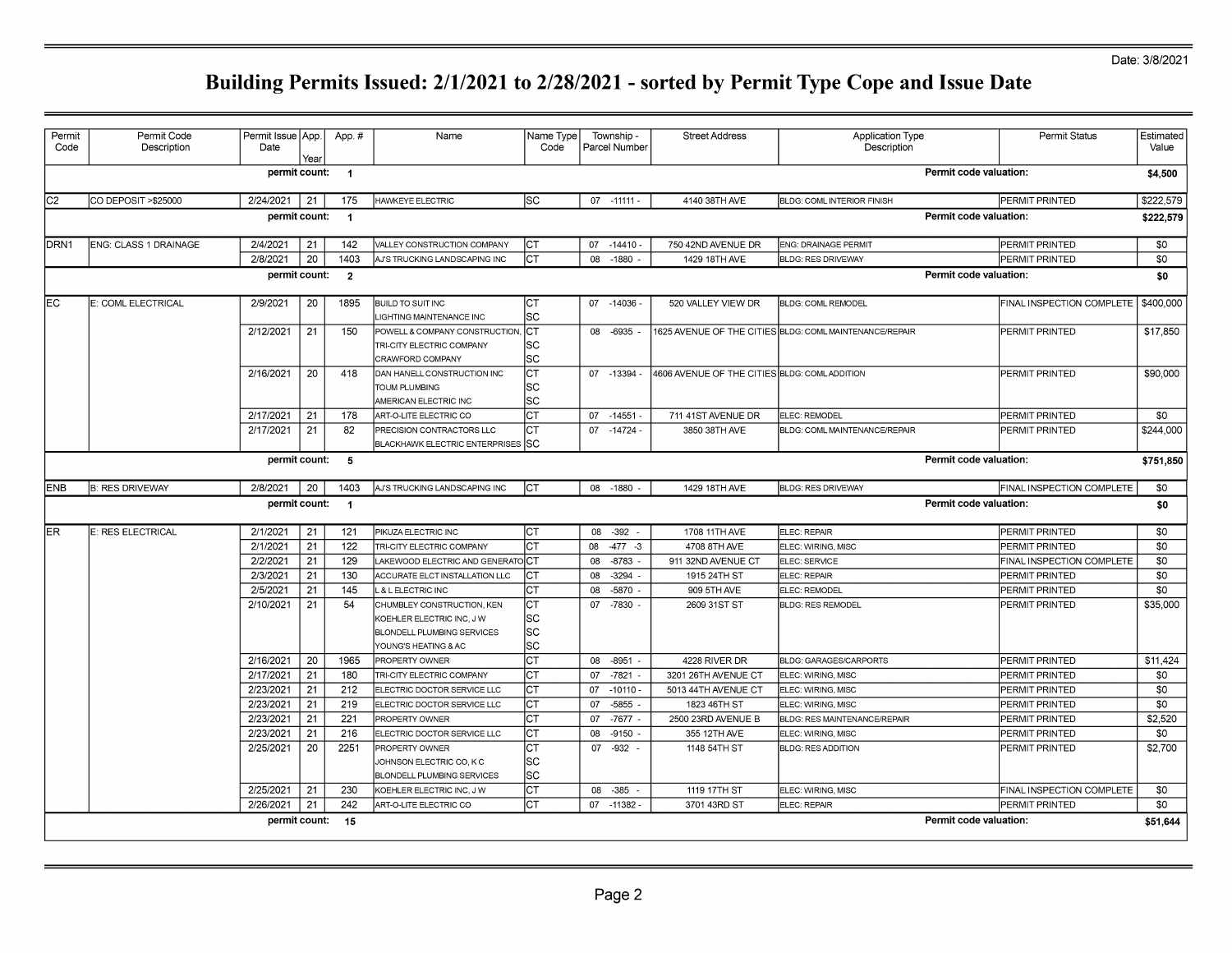#### Date: 3/8/2021

| Permit<br>Code | Permit Code<br>Description | Permit Issue App.<br>Date | Year | App.#          | Name                                                                                                          | Name Type<br>Code        |    | Township -<br>Parcel Number | <b>Street Address</b>                        | <b>Application Type</b><br>Description                  | Permit Status             | Estimated<br>Value |
|----------------|----------------------------|---------------------------|------|----------------|---------------------------------------------------------------------------------------------------------------|--------------------------|----|-----------------------------|----------------------------------------------|---------------------------------------------------------|---------------------------|--------------------|
|                |                            | permit count:             |      | $\overline{1}$ |                                                                                                               |                          |    |                             |                                              |                                                         | Permit code valuation:    | \$4,500            |
| lC2            | CO DEPOSIT > \$25000       | 2/24/2021                 | 21   | 175            | HAWKEYE ELECTRIC                                                                                              | SC                       |    | 07 - 11111 -                | 4140 38TH AVE                                | <b>BLDG: COML INTERIOR FINISH</b>                       | PERMIT PRINTED            | \$222,579          |
|                |                            | permit count:             |      | $\overline{1}$ |                                                                                                               |                          |    |                             |                                              |                                                         | Permit code valuation:    | \$222,579          |
| DRN1           | ENG: CLASS 1 DRAINAGE      | 2/4/2021                  | 21   | 142            | VALLEY CONSTRUCTION COMPANY                                                                                   | ICT                      |    | 07 -14410 -                 | 750 42ND AVENUE DR                           | <b>ENG: DRAINAGE PERMIT</b>                             | PERMIT PRINTED            | \$0                |
|                |                            | 2/8/2021                  | 20   | 1403           | AJ'S TRUCKING LANDSCAPING INC                                                                                 | Iст                      |    | 08 -1880                    | 1429 18TH AVE                                | <b>BLDG: RES DRIVEWAY</b>                               | PERMIT PRINTED            | \$0                |
|                |                            | permit count:             |      | $\overline{2}$ |                                                                                                               |                          |    |                             |                                              |                                                         | Permit code valuation:    | \$0                |
| lEC            | E: COML ELECTRICAL         | 2/9/2021                  | 20   | 1895           | <b>BUILD TO SUIT INC</b><br>LIGHTING MAINTENANCE INC                                                          | Іст<br>lsc               |    | 07 -14036 -                 | 520 VALLEY VIEW DR                           | <b>BLDG: COML REMODEL</b>                               | FINAL INSPECTION COMPLETE | \$400,000          |
|                |                            | 2/12/2021                 | 21   | 150            | POWELL & COMPANY CONSTRUCTION,<br>TRI-CITY ELECTRIC COMPANY<br>CRAWFORD COMPANY                               | IСТ<br>SC<br>lsc         |    | 08 -6935                    |                                              | 1625 AVENUE OF THE CITIES BLDG: COML MAINTENANCE/REPAIR | PERMIT PRINTED            | \$17,850           |
|                |                            | 2/16/2021                 | 20   | 418            | DAN HANELL CONSTRUCTION INC<br>TOUM PLUMBING<br>AMERICAN ELECTRIC INC                                         | CT<br>lsc<br>lsc         |    | 07 -13394                   | 4606 AVENUE OF THE CITIES BLDG: COMLADDITION |                                                         | PERMIT PRINTED            | \$90,000           |
|                |                            | 2/17/2021                 | 21   | 178            | ART-O-LITE ELECTRIC CO                                                                                        | CT                       |    | 07 -14551                   | 711 41ST AVENUE DR                           | ELEC: REMODEL                                           | PERMIT PRINTED            | \$0                |
|                |                            | 2/17/2021                 | 21   | 82             | PRECISION CONTRACTORS LLC<br>BLACKHAWK ELECTRIC ENTERPRISES SC                                                | IСТ                      |    | 07 -14724 -                 | 3850 38TH AVE                                | BLDG: COML MAINTENANCE/REPAIR                           | PERMIT PRINTED            | \$244,000          |
|                |                            | permit count: 5           |      |                |                                                                                                               |                          |    |                             |                                              |                                                         | Permit code valuation:    | \$751,850          |
| <b>IENB</b>    | <b>B: RES DRIVEWAY</b>     | 2/8/2021                  | 20   | 1403           | AJ'S TRUCKING LANDSCAPING INC                                                                                 | Iст                      |    | 08 -1880                    | 1429 18TH AVE                                | <b>BLDG: RES DRIVEWAY</b>                               | FINAL INSPECTION COMPLETE | \$0                |
|                |                            | permit count:             |      | $\overline{1}$ |                                                                                                               |                          |    |                             |                                              |                                                         | Permit code valuation:    | \$0                |
| lER.           | E: RES ELECTRICAL          | 2/1/2021                  | 21   | 121            | PIKUZA ELECTRIC INC                                                                                           | lст                      | 08 | $-392$                      | 1708 11TH AVE                                | ELEC: REPAIR                                            | PERMIT PRINTED            | \$0                |
|                |                            | 2/1/2021                  | 21   | 122            | TRI-CITY ELECTRIC COMPANY                                                                                     | CТ                       | 08 | $-477 - 3$                  | 4708 8TH AVE                                 | ELEC: WIRING, MISC                                      | PERMIT PRINTED            | \$0                |
|                |                            | 2/2/2021                  | 21   | 129            | LAKEWOOD ELECTRIC AND GENERATO CT                                                                             |                          | 08 | $-8783$                     | 911 32ND AVENUE CT                           | ELEC: SERVICE                                           | FINAL INSPECTION COMPLETE | \$0                |
|                |                            | 2/3/2021                  | 21   | 130            | ACCURATE ELCT INSTALLATION LLC                                                                                | CТ                       | 08 | $-3294$                     | 1915 24TH ST                                 | ELEC: REPAIR                                            | PERMIT PRINTED            | \$0                |
|                |                            | 2/5/2021                  | 21   | 145            | L & L ELECTRIC INC                                                                                            | СT                       | 08 | -5870                       | 909 5TH AVE                                  | ELEC: REMODEL                                           | PERMIT PRINTED            | \$0                |
|                |                            | 2/10/2021                 | 21   | 54             | CHUMBLEY CONSTRUCTION, KEN<br>KOEHLER ELECTRIC INC. J W<br>BLONDELL PLUMBING SERVICES<br>YOUNG'S HEATING & AC | IСТ<br> SC<br> SC<br>lsc |    | 07 -7830                    | 2609 31ST ST                                 | <b>BLDG: RES REMODEL</b>                                | PERMIT PRINTED            | \$35,000           |
|                |                            | 2/16/2021                 | 20   | 1965           | PROPERTY OWNER                                                                                                | lст                      | 08 | $-8951$                     | 4228 RIVER DR                                | <b>BLDG: GARAGES/CARPORTS</b>                           | PERMIT PRINTED            | \$11,424           |
|                |                            | 2/17/2021                 | 21   | 180            | TRI-CITY ELECTRIC COMPANY                                                                                     | Iст                      | 07 | -7821                       | 3201 26TH AVENUE CT                          | ELEC: WIRING, MISC                                      | PERMIT PRINTED            | \$0                |
|                |                            | 2/23/2021                 | 21   | 212            | ELECTRIC DOCTOR SERVICE LLC                                                                                   | Іст                      | 07 | $-10110$                    | 5013 44TH AVENUE CT                          | ELEC: WIRING, MISC                                      | PERMIT PRINTED            | \$0                |
|                |                            | 2/23/2021                 | 21   | 219            | ELECTRIC DOCTOR SERVICE LLC                                                                                   | lст                      | 07 | $-5855$                     | 1823 46TH ST                                 | ELEC: WIRING, MISC                                      | PERMIT PRINTED            | \$0                |
|                |                            | 2/23/2021                 | 21   | 221            | PROPERTY OWNER                                                                                                | <b>CT</b>                | 07 | $-7677$                     | 2500 23RD AVENUE B                           | <b>BLDG: RES MAINTENANCE/REPAIR</b>                     | PERMIT PRINTED            | \$2,520            |
|                |                            | 2/23/2021                 | 21   | 216            | ELECTRIC DOCTOR SERVICE LLC                                                                                   | Iст                      | 08 | $-9150$                     | 355 12TH AVE                                 | ELEC: WIRING, MISC                                      | PERMIT PRINTED            | \$0                |
|                |                            | 2/25/2021                 | 20   | 2251           | PROPERTY OWNER<br>JOHNSON ELECTRIC CO, K C<br>BLONDELL PLUMBING SERVICES                                      | СT<br> SC<br> sc         | 07 | $-932 -$                    | 1148 54TH ST                                 | <b>BLDG: RES ADDITION</b>                               | PERMIT PRINTED            | \$2.700            |
|                |                            | 2/25/2021                 | 21   | 230            | KOEHLER ELECTRIC INC, J W                                                                                     | lст                      |    | 08 - 385                    | 1119 17TH ST                                 | ELEC: WIRING, MISC                                      | FINAL INSPECTION COMPLETE | \$0                |
|                |                            | 2/26/2021                 | 21   | 242            | ART-O-LITE ELECTRIC CO                                                                                        | CТ                       | 07 | $-11382 -$                  | 3701 43RD ST                                 | ELEC: REPAIR                                            | PERMIT PRINTED            | \$0                |
|                |                            | permit count:             |      | 15             |                                                                                                               |                          |    |                             |                                              |                                                         | Permit code valuation:    | \$51,644           |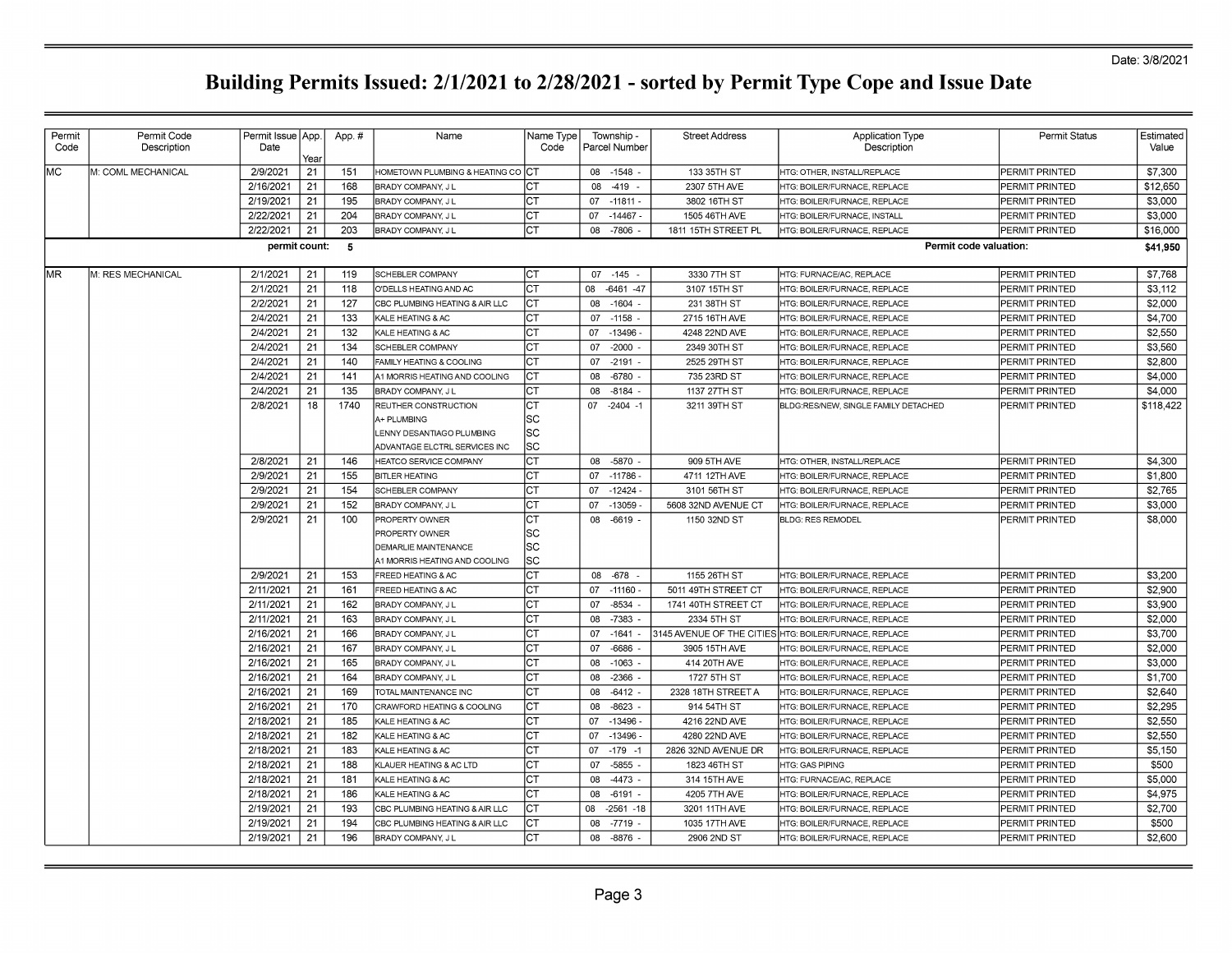| Permit<br>Code | Permit Code<br>Description | Permit Issue   App.<br>Date | Year     | App.#      | Name                                                             | Name Type⊺<br>Code | Township -<br>  Parcel Number       | <b>Street Address</b>          | <b>Application Type</b><br>Description                       | <b>Permit Status</b>             | Estimated<br>Value |
|----------------|----------------------------|-----------------------------|----------|------------|------------------------------------------------------------------|--------------------|-------------------------------------|--------------------------------|--------------------------------------------------------------|----------------------------------|--------------------|
| MC.            | M: COML MECHANICAL         | 2/9/2021                    | 21       | 151        | HOMETOWN PLUMBING & HEATING CO <b>ICT</b>                        |                    | 08 - 1548                           | 133 35TH ST                    | HTG: OTHER. INSTALL/REPLACE                                  | PERMIT PRINTED                   | \$7,300            |
|                |                            | 2/16/2021                   | 21       | 168        | <b>BRADY COMPANY. JL</b>                                         | CТ                 | 08<br>$-419$                        | 2307 5TH AVE                   | HTG: BOILER/FURNACE. REPLACE                                 | PERMIT PRINTED                   | \$12,650           |
|                |                            | 2/19/2021                   | 21       | 195        | BRADY COMPANY, J L                                               | ст                 | 07<br>$-11811$                      | 3802 16TH ST                   | HTG: BOILER/FURNACE. REPLACE                                 | PERMIT PRINTED                   | \$3,000            |
|                |                            | 2/22/2021                   | 21       | 204        | BRADY COMPANY, J L                                               | ст                 | 07<br>$-14467$                      | 1505 46TH AVE                  | <b>ITG: BOILER/FURNACE, INSTALL</b>                          | PERMIT PRINTED                   | \$3,000            |
|                |                            | 2/22/2021                   | 21       | 203        | BRADY COMPANY, J L                                               | CТ                 | $-7806$<br>08                       | 1811 15TH STREET PL            | HTG: BOILER/FURNACE, REPLACE                                 | PERMIT PRINTED                   | \$16,000           |
|                |                            | permit count:               |          | - 5        |                                                                  |                    |                                     |                                |                                                              | Permit code valuation:           | \$41,950           |
|                |                            |                             |          |            |                                                                  |                    |                                     |                                |                                                              |                                  |                    |
| МR             | <b>I</b> M: RES MECHANICAL | 2/1/2021                    | 21       | 119        | SCHEBLER COMPANY                                                 | CТ                 | $07 - 145 -$                        | 3330 7TH ST                    | HTG: FURNACE/AC, REPLACE                                     | PERMIT PRINTED                   | \$7,768            |
|                |                            | 2/1/2021                    | 21       | 118        | <b>O'DELLS HEATING AND AC</b>                                    | CТ                 | 08<br>-6461 -47                     | 3107 15TH ST                   | HTG: BOILER/FURNACE, REPLACE                                 | PERMIT PRINTED                   | \$3,112            |
|                |                            | 2/2/2021                    | 21       | 127        | CBC PLUMBING HEATING & AIR LLC                                   | CТ                 | 08<br>-1604                         | 231 38TH ST                    | HTG: BOILER/FURNACE, REPLACE                                 | PERMIT PRINTED                   | \$2,000            |
|                |                            | 2/4/2021                    | 21       | 133        | KALE HEATING & AC                                                | CТ                 | 07<br>$-1158$                       | 2715 16TH AVE                  | HTG: BOILER/FURNACE, REPLACE                                 | PERMIT PRINTED                   | \$4,700            |
|                |                            | 2/4/2021                    | 21       | 132        | KALE HEATING & AC                                                | CТ                 | 07<br>$-13496$                      | 4248 22ND AVE                  | HTG: BOILER/FURNACE, REPLACE                                 | PERMIT PRINTED                   | \$2,550            |
|                |                            | 2/4/2021                    | 21       | 134        | SCHEBLER COMPANY                                                 | CТ                 | 07<br>$-2000$                       | 2349 30TH ST                   | HTG: BOILER/FURNACE, REPLACE                                 | PERMIT PRINTED                   | \$3,560            |
|                |                            | 2/4/2021                    | 21       | 140        | FAMILY HEATING & COOLING                                         | CТ                 | $-2191$<br>07                       | 2525 29TH ST                   | HTG: BOILER/FURNACE, REPLACE                                 | PERMIT PRINTED                   | \$2,800            |
|                |                            | 2/4/2021                    | 21       | 141        | A1 MORRIS HEATING AND COOLING                                    | CТ                 | 08<br>$-6780$                       | 735 23RD ST                    | HTG: BOILER/FURNACE, REPLACE                                 | PERMIT PRINTED                   | \$4,000            |
|                |                            | 2/4/2021                    | 21       | 135        | BRADY COMPANY, J L                                               | CТ                 | $-8184$<br>08                       | 1137 27TH ST                   | HTG: BOILER/FURNACE, REPLACE                                 | PERMIT PRINTED                   | \$4,000            |
|                |                            | 2/8/2021                    | 18       | 1740       | REUTHER CONSTRUCTION                                             | CТ                 | 07 -2404 -1                         | 3211 39TH ST                   | BLDG:RES/NEW, SINGLE FAMILY DETACHED                         | PERMIT PRINTED                   | \$118,422          |
|                |                            |                             |          |            | A+ PLUMBING                                                      | SC                 |                                     |                                |                                                              |                                  |                    |
|                |                            |                             |          |            | ENNY DESANTIAGO PLUMBING                                         | lsc                |                                     |                                |                                                              |                                  |                    |
|                |                            |                             |          |            | ADVANTAGE ELCTRL SERVICES INC                                    | SC                 |                                     |                                |                                                              |                                  |                    |
|                |                            | 2/8/2021                    | 21       | 146        | HEATCO SERVICE COMPANY                                           | IСТ                | -5870<br>08                         | 909 5TH AVE                    | HTG: OTHER. INSTALL/REPLACE                                  | PERMIT PRINTED                   | \$4,300            |
|                |                            | 2/9/2021                    | 21       | 155        | <b>BITLER HEATING</b>                                            | ст                 | 07<br>$-11786$                      | 4711 12TH AVE                  | HTG: BOILER/FURNACE, REPLACE                                 | PERMIT PRINTED                   | \$1,800            |
|                |                            | 2/9/2021                    | 21       | 154        | SCHEBLER COMPANY                                                 | CТ                 | $-12424$<br>07                      | 3101 56TH ST                   | HTG: BOILER/FURNACE, REPLACE                                 | PERMIT PRINTED                   | \$2,765            |
|                |                            | 2/9/2021                    | 21       | 152        | BRADY COMPANY, J L                                               | CТ                 | -13059<br>07                        | 5608 32ND AVENUE CT            | HTG: BOILER/FURNACE, REPLACE                                 | PERMIT PRINTED                   | \$3,000            |
|                |                            | 2/9/2021                    | 21       | 100        | PROPERTY OWNER                                                   | CТ                 | 08<br>$-6619$                       | 1150 32ND ST                   | <b>IBLDG: RES REMODEL</b>                                    | PERMIT PRINTED                   | \$8,000            |
|                |                            |                             |          |            | PROPERTY OWNER                                                   | SC                 |                                     |                                |                                                              |                                  |                    |
|                |                            |                             |          |            | DEMARLIE MAINTENANCE                                             | SC                 |                                     |                                |                                                              |                                  |                    |
|                |                            |                             |          |            | <b>A1 MORRIS HEATING AND COOLING</b>                             | SC                 |                                     |                                |                                                              |                                  |                    |
|                |                            | 2/9/2021                    | 21       | 153        | FREED HEATING & AC                                               | СT                 | -678<br>08                          | 1155 26TH ST                   | HTG: BOILER/FURNACE, REPLACE                                 | PERMIT PRINTED                   | \$3,200            |
|                |                            | 2/11/2021                   | 21       | 161        | FREED HEATING & AC                                               | CТ                 | 07<br>$-11160$                      | 5011 49TH STREET CT            | HTG: BOILER/FURNACE, REPLACE                                 | PERMIT PRINTED                   | \$2,900            |
|                |                            | 2/11/2021                   | 21       | 162        | BRADY COMPANY, J L                                               | CТ                 | $-8534$<br>07                       | 1741 40TH STREET CT            | HTG: BOILER/FURNACE, REPLACE                                 | PERMIT PRINTED                   | \$3.900            |
|                |                            | 2/11/2021                   | 21       | 163        | <b>BRADY COMPANY, J L</b>                                        | CТ                 | $-7383$<br>08                       | 2334 5TH ST                    | HTG: BOILER/FURNACE, REPLACE                                 | PERMIT PRINTED                   | \$2,000            |
|                |                            | 2/16/2021                   | 21       | 166        | <b>BRADY COMPANY, JL</b>                                         | CТ                 | $-1641$<br>07                       |                                | 3145 AVENUE OF THE CITIES HTG: BOILER/FURNACE, REPLACE       | PERMIT PRINTED                   | \$3.700            |
|                |                            | 2/16/2021                   | 21       | 167        | <b>BRADY COMPANY, JL</b>                                         | CТ                 | -6686<br>07                         | 3905 15TH AVE                  | HTG: BOILER/FURNACE, REPLACE                                 | PERMIT PRINTED                   | \$2,000            |
|                |                            | 2/16/2021                   | 21       | 165        | BRADY COMPANY, J L                                               | CТ                 | $-1063$<br>08                       | 414 20TH AVE                   | HTG: BOILER/FURNACE, REPLACE                                 | PERMIT PRINTED                   | \$3,000            |
|                |                            | 2/16/2021                   | 21       | 164        | BRADY COMPANY, J L                                               | СT                 | $-2366$<br>08                       | 1727 5TH ST                    | HTG: BOILER/FURNACE, REPLACE                                 | PERMIT PRINTED                   | \$1,700            |
|                |                            | 2/16/2021                   | 21       | 169        | TOTAL MAINTENANCE INC                                            | IСТ                | 08<br>$-6412$                       | 2328 18TH STREET A             | HTG: BOILER/FURNACE, REPLACE                                 | PERMIT PRINTED                   | \$2,640            |
|                |                            | 2/16/2021                   | 21       | 170        | CRAWFORD HEATING & COOLING                                       | IСТ                | 08<br>$-8623$ .                     | 914 54TH ST                    | HTG: BOILER/FURNACE, REPLACE                                 | PERMIT PRINTED                   | \$2,295            |
|                |                            | 2/18/2021                   | 21       | 185        | KALE HEATING & AC                                                | IСТ                | 07<br>-13496                        | 4216 22ND AVE                  | HTG: BOILER/FURNACE, REPLACE                                 | PERMIT PRINTED                   | \$2,550            |
|                |                            | 2/18/2021                   | 21       | 182<br>183 | KALE HEATING & AC                                                | CТ                 | 07<br>$-13496$                      | 4280 22ND AVE                  | HTG: BOILER/FURNACE, REPLACE                                 | PERMIT PRINTED                   | \$2,550            |
|                |                            | 2/18/2021<br>2/18/2021      | 21       | 188        | KALE HEATING & AC                                                | CТ                 | $-179 - 1$<br>07<br>$-5855$<br>07   | 2826 32ND AVENUE DR            | HTG: BOILER/FURNACE, REPLACE                                 | PERMIT PRINTED                   | \$5,150<br>\$500   |
|                |                            | 2/18/2021                   | 21<br>21 | 181        | KLAUER HEATING & AC LTD<br>KALE HEATING & AC                     | CТ<br>CТ           | 08<br>-4473                         | 1823 46TH ST<br>314 15TH AVE   | <b>HTG: GAS PIPING</b><br>HTG: FURNACE/AC, REPLACE           | PERMIT PRINTED<br>PERMIT PRINTED | \$5,000            |
|                |                            | 2/18/2021                   | 21       | 186        | KALE HEATING & AC                                                | CТ                 | $-6191$ .                           | 4205 7TH AVE                   |                                                              | PERMIT PRINTED                   | \$4,975            |
|                |                            | 2/19/2021                   |          | 193        |                                                                  |                    | 08                                  |                                | HTG: BOILER/FURNACE. REPLACE                                 |                                  | \$2,700            |
|                |                            | 2/19/2021                   | 21<br>21 | 194        | CBC PLUMBING HEATING & AIR LLC<br>CBC PLUMBING HEATING & AIR LLC | CТ<br>CТ           | 80<br>$-2561 - 18$<br>$-7719$<br>08 | 3201 11TH AVE<br>1035 17TH AVE | HTG: BOILER/FURNACE, REPLACE<br>HTG: BOILER/FURNACE, REPLACE | PERMIT PRINTED<br>PERMIT PRINTED | \$500              |
|                |                            | 2/19/2021                   | 21       | 196        |                                                                  | CТ                 | -8876                               |                                |                                                              | PERMIT PRINTED                   | \$2,600            |
|                |                            |                             |          |            | BRADY COMPANY, J L                                               |                    | 08                                  | 2906 2ND ST                    | HTG: BOILER/FURNACE, REPLACE                                 |                                  |                    |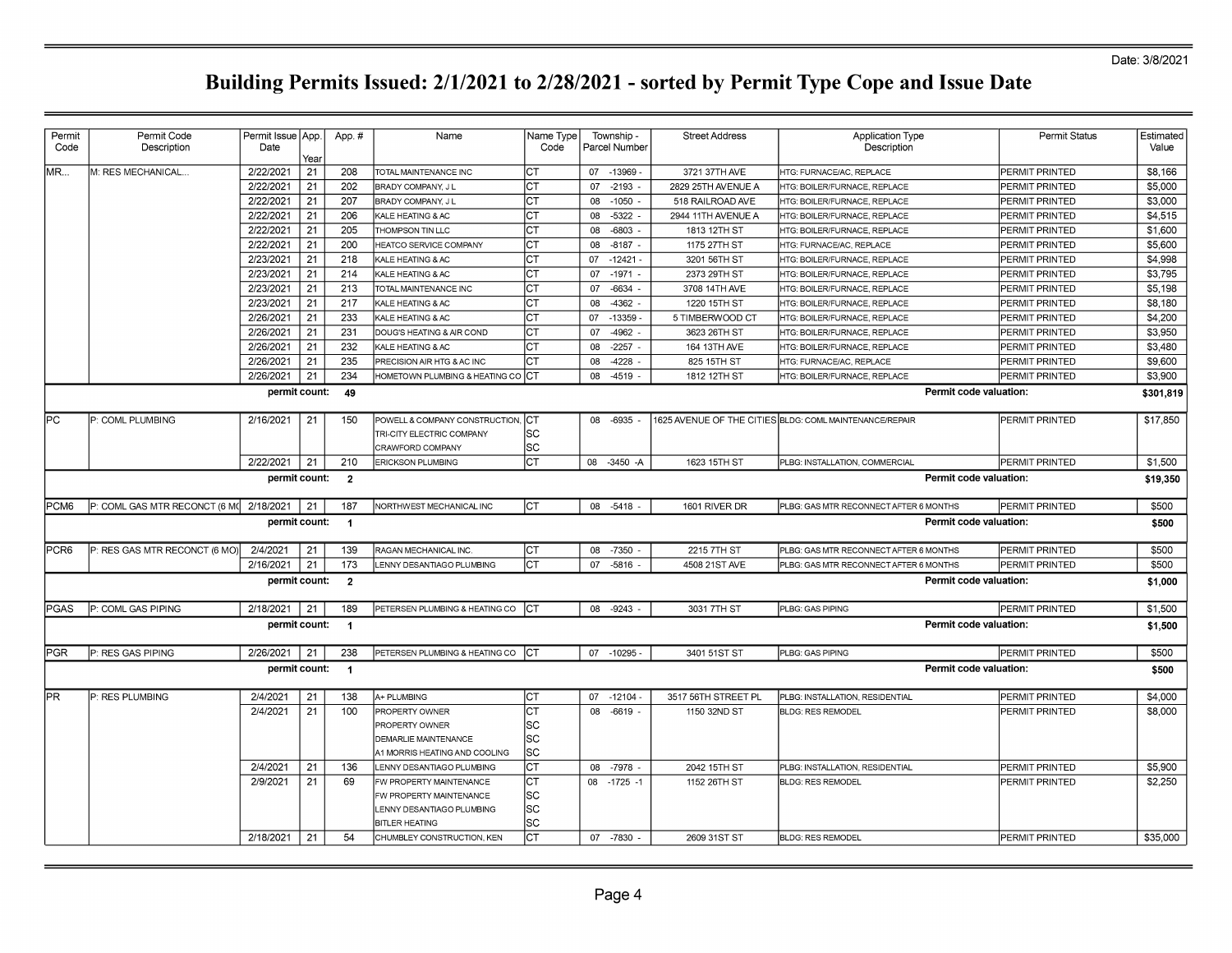| Permit<br>Code | Permit Code<br>Description              | Permit Issue   App.<br>Date |            | App.#                | Name                           | Name Type<br>Code |    | Township -<br>Parcel Number | <b>Street Address</b> | <b>Application Type</b><br>Description                  |                               | <b>Permit Status</b> | Estimated<br>Value |
|----------------|-----------------------------------------|-----------------------------|------------|----------------------|--------------------------------|-------------------|----|-----------------------------|-----------------------|---------------------------------------------------------|-------------------------------|----------------------|--------------------|
| MR             | VI: RES MECHANICAL.                     | 2/22/2021                   | Year<br>21 | 208                  | TOTAL MAINTENANCE INC          |                   |    | 07 -13969                   | 3721 37TH AVE         | HTG: FURNACE/AC, REPLACE                                |                               | PERMIT PRINTED       | \$8,166            |
|                |                                         | 2/22/2021                   | 21         | 202                  | BRADY COMPANY, JL              |                   | 07 | $-2193$                     | 2829 25TH AVENUE A    | <b>ITG: BOILER/FURNACE, REPLACE</b>                     |                               | PERMIT PRINTED       | \$5,000            |
|                |                                         | 2/22/2021                   | 21         | 207                  | BRADY COMPANY, J L             |                   | 80 | $-1050$                     | 518 RAILROAD AVE      | HTG: BOILER/FURNACE, REPLACE                            |                               | PERMIT PRINTED       | \$3,000            |
|                |                                         | 2/22/2021                   | 21         | 206                  | KALE HEATING & AC              |                   | 08 | $-5322$                     | 2944 11TH AVENUE A    | HTG: BOILER/FURNACE, REPLACE                            |                               | PERMIT PRINTED       | \$4,515            |
|                |                                         | 2/22/2021                   | 21         | 205                  | <b>THOMPSON TIN LLC</b>        |                   | 08 | $-6803$                     | 1813 12TH ST          | HTG: BOILER/FURNACE, REPLACE                            |                               | PERMIT PRINTED       | \$1,600            |
|                |                                         | 2/22/2021                   | 21         | 200                  | <b>HEATCO SERVICE COMPANY</b>  | CТ                | 08 | $-8187$                     | 1175 27TH ST          | HTG: FURNACE/AC, REPLACE                                |                               | PERMIT PRINTED       | \$5,600            |
|                |                                         | 2/23/2021                   | 21         | 218                  | <b>KALE HEATING &amp; AC</b>   |                   | 07 | $-12421$                    | 3201 56TH ST          | HTG: BOILER/FURNACE, REPLACE                            |                               | PERMIT PRINTED       | \$4.998            |
|                |                                         | 2/23/2021                   | 21         | 214                  | <b>KALE HEATING &amp; AC</b>   |                   | 07 | $-1971$                     | 2373 29TH ST          | HTG: BOILER/FURNACE, REPLACE                            |                               | PERMIT PRINTED       | \$3,795            |
|                |                                         | 2/23/2021                   | 21         | 213                  | TOTAL MAINTENANCE INC          | CТ                | 07 | $-6634$                     | 3708 14TH AVE         | HTG: BOILER/FURNACE, REPLACE                            |                               | PERMIT PRINTED       | \$5,198            |
|                |                                         | 2/23/2021                   | 21         | 217                  | KALE HEATING & AC              | CТ                | 08 | $-4362$                     | 1220 15TH ST          | HTG: BOILER/FURNACE, REPLACE                            |                               | PERMIT PRINTED       | \$8.180            |
|                |                                         | 2/26/2021                   | 21         | 233                  | KALE HEATING & AC              | CТ                | 07 | $-13359$                    | 5 TIMBERWOOD CT       | HTG: BOILER/FURNACE, REPLACE                            |                               | PERMIT PRINTED       | \$4,200            |
|                |                                         | 2/26/2021                   | 21         | 231                  | DOUG'S HEATING & AIR COND      | CТ                | 07 | $-4962$                     | 3623 26TH ST          | HTG: BOILER/FURNACE, REPLACE                            |                               | PERMIT PRINTED       | \$3.950            |
|                |                                         | 2/26/2021                   | 21         | 232                  | KALE HEATING & AC              | CТ                | 08 | $-2257$                     | 164 13TH AVE          | HTG: BOILER/FURNACE, REPLACE                            |                               | PERMIT PRINTED       | \$3,480            |
|                |                                         | 2/26/2021                   | 21         | 235                  | PRECISION AIR HTG & AC INC     | CТ                | 08 | $-4228$                     | 825 15TH ST           | HTG: FURNACE/AC, REPLACE                                |                               | PERMIT PRINTED       | \$9,600            |
|                |                                         | 2/26/2021                   | 21         | 234                  | HOMETOWN PLUMBING & HEATING CO | CТ                | 08 | $-4519$                     | 1812 12TH ST          | HTG: BOILER/FURNACE, REPLACE                            |                               | PERMIT PRINTED       | \$3,900            |
|                |                                         |                             |            |                      |                                |                   |    |                             |                       |                                                         |                               |                      |                    |
|                |                                         | permit count:               |            | 49                   |                                |                   |    |                             |                       |                                                         | <b>Permit code valuation:</b> |                      | \$301,819          |
| PC             | P: COML PLUMBING                        | 2/16/2021                   | 21         | 150                  | POWELL & COMPANY CONSTRUCTION, | Iст               | 08 | -6935                       |                       | 1625 AVENUE OF THE CITIES BLDG: COML MAINTENANCE/REPAIR |                               | PERMIT PRINTED       | \$17,850           |
|                |                                         |                             |            |                      | TRI-CITY ELECTRIC COMPANY      | ΙSC               |    |                             |                       |                                                         |                               |                      |                    |
|                |                                         |                             |            |                      | CRAWFORD COMPANY               | lsc               |    |                             |                       |                                                         |                               |                      |                    |
|                |                                         | 2/22/2021                   | 21         | 210                  | <b>ERICKSON PLUMBING</b>       | СT                | 08 | -3450 -A                    | 1623 15TH ST          | PLBG: INSTALLATION, COMMERCIAL                          |                               | PERMIT PRINTED       | \$1,500            |
|                |                                         | permit count:               |            | $\overline{2}$       |                                |                   |    |                             |                       |                                                         | <b>Permit code valuation:</b> |                      | \$19,350           |
| PCM6           | P: COML GAS MTR RECONCT (6 M( 2/18/2021 |                             | 21         | 187                  | NORTHWEST MECHANICAL INC       | Iст               |    | 08 -5418                    | 1601 RIVER DR         | PLBG: GAS MTR RECONNECT AFTER 6 MONTHS                  |                               | PERMIT PRINTED       | \$500              |
|                |                                         | permit count:               |            | $\overline{1}$       |                                |                   |    |                             |                       |                                                         | Permit code valuation:        |                      | \$500              |
| PCR6           | P: RES GAS MTR RECONCT (6 MO)           | 2/4/2021                    | 21         | 139                  | RAGAN MECHANICAL INC.          | Iст               | 08 | -7350                       | 2215 7TH ST           | PLBG: GAS MTR RECONNECT AFTER 6 MONTHS                  |                               | PERMIT PRINTED       | \$500              |
|                |                                         | 2/16/2021                   | 21         | 173                  | LENNY DESANTIAGO PLUMBING      | IСТ               | 07 | $-5816$                     | 4508 21ST AVE         | PLBG: GAS MTR RECONNECT AFTER 6 MONTHS                  |                               | PERMIT PRINTED       | \$500              |
|                |                                         | permit count:               |            | $\overline{2}$       |                                |                   |    |                             |                       |                                                         | Permit code valuation:        |                      | \$1,000            |
| <b>PGAS</b>    | P: COML GAS PIPING                      | 2/18/2021                   | 21         | 189                  | PETERSEN PLUMBING & HEATING CO | Iст               | 08 | $-9243 -$                   | 3031 7TH ST           | PLBG: GAS PIPING                                        |                               | PERMIT PRINTED       | \$1,500            |
|                |                                         | permit count:               |            | $\blacktriangleleft$ |                                |                   |    |                             |                       |                                                         | Permit code valuation:        |                      | \$1,500            |
| PGR            | P: RES GAS PIPING                       | 2/26/2021                   | 21         | 238                  | PETERSEN PLUMBING & HEATING CO | IСТ               |    | 07 -10295 -                 | 3401 51ST ST          | PLBG: GAS PIPING                                        |                               | PERMIT PRINTED       | \$500              |
|                |                                         | permit count:               |            | $\overline{1}$       |                                |                   |    |                             |                       |                                                         | Permit code valuation:        |                      | \$500              |
| <b>PR</b>      | P: RES PLUMBING                         | 2/4/2021                    | 21         | 138                  | A+ PLUMBING                    | IСТ               | 07 | $-12104$                    | 3517 56TH STREET PL   | PLBG: INSTALLATION, RESIDENTIAL                         |                               | PERMIT PRINTED       | \$4,000            |
|                |                                         | 2/4/2021                    | 21         | 100                  | PROPERTY OWNER                 | CТ                | 08 | $-6619$                     | 1150 32ND ST          | <b>BLDG: RES REMODEL</b>                                |                               | PERMIT PRINTED       | \$8,000            |
|                |                                         |                             |            |                      | PROPERTY OWNER                 | lsc               |    |                             |                       |                                                         |                               |                      |                    |
|                |                                         |                             |            |                      | DEMARLIE MAINTENANCE           | SC                |    |                             |                       |                                                         |                               |                      |                    |
|                |                                         |                             |            |                      | A1 MORRIS HEATING AND COOLING  | lsc               |    |                             |                       |                                                         |                               |                      |                    |
|                |                                         | 2/4/2021                    | 21         | 136                  | LENNY DESANTIAGO PLUMBING      | CТ                | 08 | -7978                       | 2042 15TH ST          | PLBG: INSTALLATION, RESIDENTIAL                         |                               | PERMIT PRINTED       | \$5,900            |
|                |                                         | 2/9/2021                    | 21         | 69                   | FW PROPERTY MAINTENANCE        | CТ                |    | 08 -1725 -1                 | 1152 26TH ST          | <b>BLDG: RES REMODEL</b>                                |                               | PERMIT PRINTED       | \$2,250            |
|                |                                         |                             |            |                      | FW PROPERTY MAINTENANCE        | lsc               |    |                             |                       |                                                         |                               |                      |                    |
|                |                                         |                             |            |                      | LENNY DESANTIAGO PLUMBING      | lsc               |    |                             |                       |                                                         |                               |                      |                    |
|                |                                         |                             |            |                      | <b>BITLER HEATING</b>          | lsc               |    |                             |                       |                                                         |                               |                      |                    |
|                |                                         | 2/18/2021                   | 21         | 54                   | CHUMBLEY CONSTRUCTION, KEN     | IСТ               |    | 07 -7830                    | 2609 31ST ST          | <b>BLDG: RES REMODEL</b>                                |                               | PERMIT PRINTED       | \$35,000           |